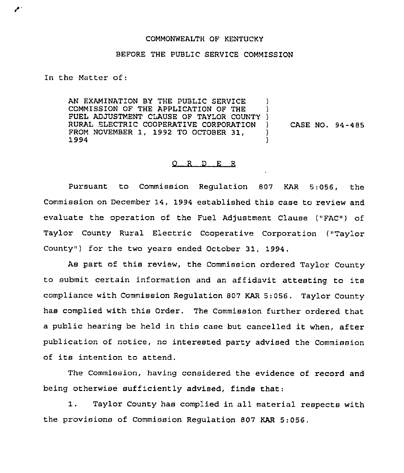## COMMONWEALTH OF KENTUCKY

## BEFORE THE PUBLIC SERVICE COMMISSION

In the Matter of:

AN EXAMINATION BY THE PUBLIC SERVICE COMMISSION OF THE APPLICATION OF THE FUEL ADJUSTMENT CLAUSE OF TAYLOR COUNTY ) RURAL ELECTRIC COOPERATIVE CORPORATION FROM NOVEMBER 1, 1992 TO OCTOBER 31, 1994 ) ) ) CASE NO. 94-485 ) )

## 0 <sup>R</sup> <sup>D</sup> E <sup>R</sup>

Pursuant to Commission Regulation 807 KAR 5:056, the Commission on December 14, 1994 established this case to review and evaluate the operation of the Fuel Adjustment Clause ("FAC") of Taylor County Rural Electric Cooperative Corporation ("Taylor County") for the two years ended October 31, 1994.

As part of this review, the Commission ordered Taylor County to submit certain information and an affidavit attesting to its compliance with Commission Regulation 807 KAR 5.056. Taylor County has complied with this Order. The Commission further ordered that <sup>a</sup> public hearing be held in this case but cancelled it when, after publication of notice, no interested party advised the Commission of its intention to attend.

The Commission, having considered the evidence of record and being otherwise sufficiently advised, finds that:

1. Taylor County has complied in all material respects with the provisions of Commission Regulation 807 KAR 5:056,